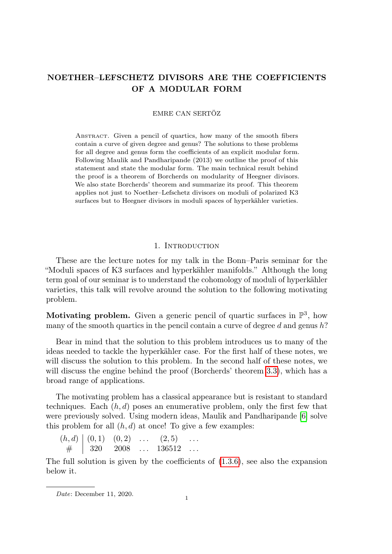# NOETHER–LEFSCHETZ DIVISORS ARE THE COEFFICIENTS OF A MODULAR FORM

### EMRE CAN SERTÖZ

Abstract. Given a pencil of quartics, how many of the smooth fibers contain a curve of given degree and genus? The solutions to these problems for all degree and genus form the coefficients of an explicit modular form. Following Maulik and Pandharipande (2013) we outline the proof of this statement and state the modular form. The main technical result behind the proof is a theorem of Borcherds on modularity of Heegner divisors. We also state Borcherds' theorem and summarize its proof. This theorem applies not just to Noether–Lefschetz divisors on moduli of polarized K3 surfaces but to Heegner divisors in moduli spaces of hyperkähler varieties.

#### 1. INTRODUCTION

These are the lecture notes for my talk in the Bonn–Paris seminar for the "Moduli spaces of K3 surfaces and hyperkähler manifolds." Although the long term goal of our seminar is to understand the cohomology of moduli of hyperkähler varieties, this talk will revolve around the solution to the following motivating problem.

Motivating problem. Given a generic pencil of quartic surfaces in  $\mathbb{P}^3$ , how many of the smooth quartics in the pencil contain a curve of degree  $d$  and genus  $h$ ?

Bear in mind that the solution to this problem introduces us to many of the ideas needed to tackle the hyperkähler case. For the first half of these notes, we will discuss the solution to this problem. In the second half of these notes, we will discuss the engine behind the proof (Borcherds' theorem [3.3\)](#page-6-0), which has a broad range of applications.

The motivating problem has a classical appearance but is resistant to standard techniques. Each  $(h, d)$  poses an enumerative problem, only the first few that were previously solved. Using modern ideas, Maulik and Pandharipande [\[6\]](#page-9-0) solve this problem for all  $(h, d)$  at once! To give a few examples:

 $(h, d) \mid (0, 1) \quad (0, 2) \quad \dots \quad (2, 5) \quad \dots$  $\#$  | 320 2008 ... 136512 ...

The full solution is given by the coefficients of [\(1.3.6\)](#page-2-0), see also the expansion below it.

 $Date: December 11, 2020.$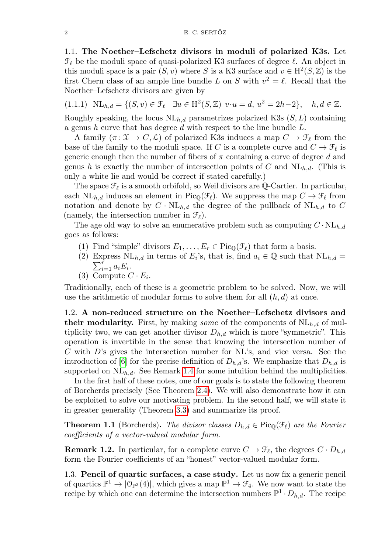1.1. The Noether–Lefschetz divisors in moduli of polarized K3s. Let  $\mathcal{F}_{\ell}$  be the moduli space of quasi-polarized K3 surfaces of degree  $\ell$ . An object in this moduli space is a pair  $(S, v)$  where S is a K3 surface and  $v \in H^2(S, \mathbb{Z})$  is the first Chern class of an ample line bundle L on S with  $v^2 = \ell$ . Recall that the Noether–Lefschetz divisors are given by

$$
(1.1.1) \quad \text{NL}_{h,d} = \{ (S, v) \in \mathcal{F}_{\ell} \mid \exists u \in \text{H}^2(S, \mathbb{Z}) \, v \cdot u = d, \, u^2 = 2h - 2 \}, \quad h, d \in \mathbb{Z}.
$$

Roughly speaking, the locus  $NL_{h,d}$  parametrizes polarized K3s  $(S, L)$  containing a genus h curve that has degree d with respect to the line bundle  $L$ .

A family  $(\pi: \mathfrak{X} \to C, \mathcal{L})$  of polarized K3s induces a map  $C \to \mathcal{F}_{\ell}$  from the base of the family to the moduli space. If C is a complete curve and  $C \to \mathcal{F}_\ell$  is generic enough then the number of fibers of  $\pi$  containing a curve of degree d and genus h is exactly the number of intersection points of C and  $NL_{h,d}$ . (This is only a white lie and would be correct if stated carefully.)

The space  $\mathcal{F}_{\ell}$  is a smooth orbifold, so Weil divisors are Q-Cartier. In particular, each NL<sub>h,d</sub> induces an element in Pic<sub>Q</sub>( $\mathcal{F}_{\ell}$ ). We suppress the map  $C \to \mathcal{F}_{\ell}$  from notation and denote by  $C \cdot NL_{h,d}$  the degree of the pullback of  $NL_{h,d}$  to C (namely, the intersection number in  $\mathcal{F}_{\ell}$ ).

The age old way to solve an enumerative problem such as computing  $C \cdot NL_{h,d}$ goes as follows:

- (1) Find "simple" divisors  $E_1, \ldots, E_r \in Pic_{\mathbb{O}}(\mathcal{F}_{\ell})$  that form a basis.
- (2) Express  $\text{NL}_{h,d}$  in terms of  $E_i$ 's, that is, find  $a_i \in \mathbb{Q}$  such that  $\text{NL}_{h,d} =$  $\sum_{i=1}^r a_i E_i$ .
- (3) Compute  $C \cdot E_i$ .

Traditionally, each of these is a geometric problem to be solved. Now, we will use the arithmetic of modular forms to solve them for all  $(h, d)$  at once.

1.2. A non-reduced structure on the Noether–Lefschetz divisors and their modularity. First, by making *some* of the components of  $\text{NL}_{h,d}$  of multiplicity two, we can get another divisor  $D_{h,d}$  which is more "symmetric". This operation is invertible in the sense that knowing the intersection number of C with D's gives the intersection number for NL's, and vice versa. See the introduction of [\[6\]](#page-9-0) for the precise definition of  $D_{h,d}$ 's. We emphasize that  $D_{h,d}$  is supported on  $\text{NL}_{h,d}$ . See Remark [1.4](#page-3-0) for some intuition behind the multiplicities.

In the first half of these notes, one of our goals is to state the following theorem of Borcherds precisely (See Theorem [2.4\)](#page-4-0). We will also demonstrate how it can be exploited to solve our motivating problem. In the second half, we will state it in greater generality (Theorem [3.3\)](#page-6-0) and summarize its proof.

**Theorem 1.1** (Borcherds). The divisor classes  $D_{h,d} \in \text{Pic}_{\mathbb{Q}}(\mathcal{F}_{\ell})$  are the Fourier coefficients of a vector-valued modular form.

**Remark 1.2.** In particular, for a complete curve  $C \rightarrow \mathcal{F}_{\ell}$ , the degrees  $C \cdot D_{h,d}$ form the Fourier coefficients of an "honest" vector-valued modular form.

1.3. Pencil of quartic surfaces, a case study. Let us now fix a generic pencil of quartics  $\mathbb{P}^1 \to |\mathbb{O}_{\mathbb{P}^3}(4)|$ , which gives a map  $\mathbb{P}^1 \to \mathcal{F}_4$ . We now want to state the recipe by which one can determine the intersection numbers  $\mathbb{P}^1 \cdot D_{h,d}$ . The recipe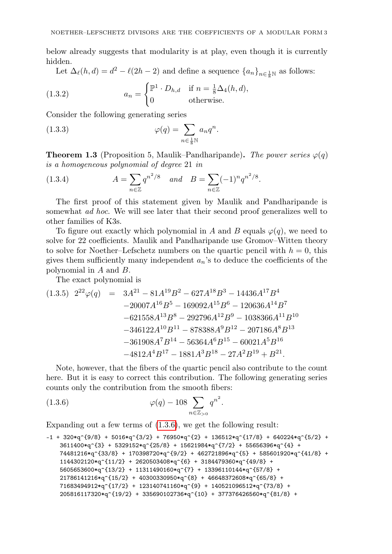below already suggests that modularity is at play, even though it is currently hidden.

Let  $\Delta_{\ell}(h, d) = d^2 - \ell(2h - 2)$  and define a sequence  $\{a_n\}_{n \in \frac{1}{8}\mathbb{N}}$  as follows:

(1.3.2) 
$$
a_n = \begin{cases} \mathbb{P}^1 \cdot D_{h,d} & \text{if } n = \frac{1}{8} \Delta_4(h,d), \\ 0 & \text{otherwise.} \end{cases}
$$

Consider the following generating series

(1.3.3) 
$$
\varphi(q) = \sum_{n \in \frac{1}{8}\mathbb{N}} a_n q^n.
$$

**Theorem 1.3** (Proposition 5, Maulik–Pandharipande). The power series  $\varphi(q)$ is a homogeneous polynomial of degree 21 in

(1.3.4) 
$$
A = \sum_{n \in \mathbb{Z}} q^{n^2/8} \quad and \quad B = \sum_{n \in \mathbb{Z}} (-1)^n q^{n^2/8}.
$$

The first proof of this statement given by Maulik and Pandharipande is somewhat ad hoc. We will see later that their second proof generalizes well to other families of K3s.

To figure out exactly which polynomial in A and B equals  $\varphi(q)$ , we need to solve for 22 coefficients. Maulik and Pandharipande use Gromov–Witten theory to solve for Noether–Lefschetz numbers on the quartic pencil with  $h = 0$ , this gives them sufficiently many independent  $a_n$ 's to deduce the coefficients of the polynomial in A and B.

The exact polynomial is

$$
(1.3.5) \ 2^{22}\varphi(q) = 3A^{21} - 81A^{19}B^2 - 627A^{18}B^3 - 14436A^{17}B^4
$$
  
\n
$$
-20007A^{16}B^5 - 169092A^{15}B^6 - 120636A^{14}B^7
$$
  
\n
$$
-621558A^{13}B^8 - 292796A^{12}B^9 - 1038366A^{11}B^{10}
$$
  
\n
$$
-346122A^{10}B^{11} - 878388A^9B^{12} - 207186A^8B^{13}
$$
  
\n
$$
-361908A^7B^{14} - 56364A^6B^{15} - 60021A^5B^{16}
$$
  
\n
$$
-4812A^4B^{17} - 1881A^3B^{18} - 27A^2B^{19} + B^{21}.
$$

Note, however, that the fibers of the quartic pencil also contribute to the count here. But it is easy to correct this contribution. The following generating series counts only the contribution from the smooth fibers:

<span id="page-2-0"></span>(1.3.6) 
$$
\varphi(q) - 108 \sum_{n \in \mathbb{Z}_{>0}} q^{n^2}.
$$

Expanding out a few terms of [\(1.3.6\)](#page-2-0), we get the following result:

```
-1 + 320*q^{9/8} + 5016*q^{3/2} + 76950*q^{2} + 136512*q^{17/8} + 640224*q^{5/2} +
3611400*q^{\texttt{3}} + 5329152*q^{\texttt{3}} + 15621984*q^{\texttt{3}} + 55656396*q^{\texttt{4}} +74481216*q^{2}3/8 + 170398720*q^{2} + 462721896*q^{5} + 585601920*q^{2}41/8 +
1144302120*q^{(11/2)} + 2620503408*q^{(6)} + 3184479360*q^{(49/8)} +5605653600*q^{(13/2)} + 11311490160*q^{(7)} + 13396110144*q^{(57/8)} +21786141216*q^{(15/2)} + 40300330950*q^{(8)} + 46648372608*q^{(65/8)} +71683494912*q^{(17/2)} + 123140741160*q^{(9)} + 140521096512*q^{(73/8)} +205816117320*q^{19/2} + 335690102736*q^{10} + 377376426560*q^{81/8} +
```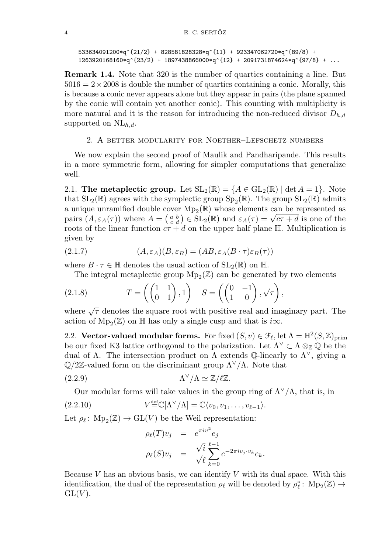```
533634091200*_q^{(21/2)} + 828581828328*_q^{(11)} + 923347062720*_q^{(89/8)} +1263920168160*_q^{(23/2)} + 1897438866000*_q^{(12)} + 2091731874624*_q^{(97/8)} + ...
```
<span id="page-3-0"></span>Remark 1.4. Note that 320 is the number of quartics containing a line. But  $5016 = 2 \times 2008$  is double the number of quartics containing a conic. Morally, this is because a conic never appears alone but they appear in pairs (the plane spanned by the conic will contain yet another conic). This counting with multiplicity is more natural and it is the reason for introducing the non-reduced divisor  $D_{h,d}$ supported on  $NL_{h,d}$ .

#### 2. A better modularity for Noether–Lefschetz numbers

We now explain the second proof of Maulik and Pandharipande. This results in a more symmetric form, allowing for simpler computations that generalize well.

2.1. The metaplectic group. Let  $SL_2(\mathbb{R}) = \{A \in GL_2(\mathbb{R}) \mid \det A = 1\}$ . Note that  $SL_2(\mathbb{R})$  agrees with the symplectic group  $Sp_2(\mathbb{R})$ . The group  $SL_2(\mathbb{R})$  admits a unique unramified double cover  $\mathrm{Mp}_2(\mathbb{R})$  whose elements can be represented as a unique unrammed double cover  $\text{Mp}_2(\mathbb{R})$  whose elements can be represented as<br>pairs  $(A, \varepsilon_A(\tau))$  where  $A = \begin{pmatrix} a & b \\ c & d \end{pmatrix} \in SL_2(\mathbb{R})$  and  $\varepsilon_A(\tau) = \sqrt{c\tau + d}$  is one of the roots of the linear function  $c\tau + d$  on the upper half plane H. Multiplication is given by

(2.1.7) 
$$
(A, \varepsilon_A)(B, \varepsilon_B) = (AB, \varepsilon_A(B \cdot \tau) \varepsilon_B(\tau))
$$

where  $B \cdot \tau \in \mathbb{H}$  denotes the usual action of  $SL_2(\mathbb{R})$  on  $\mathbb{H}$ .

The integral metaplectic group  $\mathrm{Mp}_2(\mathbb{Z})$  can be generated by two elements

(2.1.8) 
$$
T = \left( \begin{pmatrix} 1 & 1 \\ 0 & 1 \end{pmatrix}, 1 \right) \quad S = \left( \begin{pmatrix} 0 & -1 \\ 1 & 0 \end{pmatrix}, \sqrt{\tau} \right),
$$

where  $\sqrt{\tau}$  denotes the square root with positive real and imaginary part. The action of  $\mathrm{Mp}_2(\mathbb{Z})$  on  $\mathbb H$  has only a single cusp and that is  $i\infty.$ 

<span id="page-3-1"></span>2.2. Vector-valued modular forms. For fixed  $(S, v) \in \mathcal{F}_{\ell}$ , let  $\Lambda = H^2(S, \mathbb{Z})_{\text{prim}}$ be our fixed K3 lattice orthogonal to the polarization. Let  $\Lambda^{\vee} \subset \Lambda \otimes_{\mathbb{Z}} \mathbb{Q}$  be the dual of  $\Lambda$ . The intersection product on  $\Lambda$  extends Q-linearly to  $\Lambda^{\vee}$ , giving a  $\mathbb{Q}/2\mathbb{Z}$ -valued form on the discriminant group  $\Lambda^{\vee}/\Lambda$ . Note that

$$
\Lambda^{\vee}/\Lambda \simeq \mathbb{Z}/\ell \mathbb{Z}.
$$
 (2.2.9)

Our modular forms will take values in the group ring of  $\Lambda^{\vee}/\Lambda$ , that is, in

(2.2.10) 
$$
V^{\text{def}}_{\text{def}}\mathbb{C}[\Lambda^{\vee}/\Lambda]=\mathbb{C}\langle v_0,v_1,\ldots,v_{\ell-1}\rangle.
$$

Let  $\rho_{\ell} \colon \mathrm{Mp}_2(\mathbb{Z}) \to \mathrm{GL}(V)$  be the Weil representation:

$$
\rho_{\ell}(T)v_j = e^{\pi i v^2} e_j
$$
  
\n
$$
\rho_{\ell}(S)v_j = \frac{\sqrt{i}}{\sqrt{\ell}} \sum_{k=0}^{\ell-1} e^{-2\pi i v_j \cdot v_k} e_k.
$$

Because V has an obvious basis, we can identify V with its dual space. With this identification, the dual of the representation  $\rho_\ell$  will be denoted by  $\rho_\ell^* \colon \mathrm{Mp}_2(\mathbb{Z}) \to$  $GL(V)$ .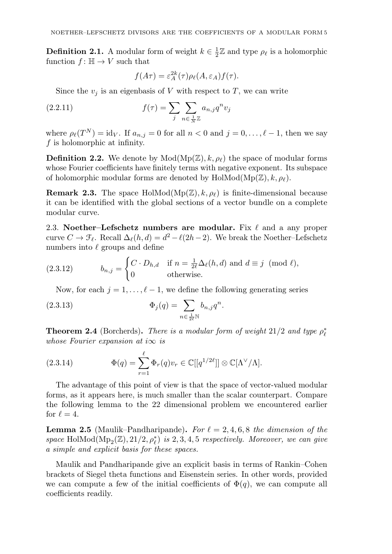**Definition 2.1.** A modular form of weight  $k \in \frac{1}{2}\mathbb{Z}$  and type  $\rho_{\ell}$  is a holomorphic function  $f: \mathbb{H} \to V$  such that

$$
f(A\tau) = \varepsilon_A^{2k}(\tau)\rho_{\ell}(A,\varepsilon_A)f(\tau).
$$

Since the  $v_i$  is an eigenbasis of V with respect to T, we can write

(2.2.11) 
$$
f(\tau) = \sum_{j} \sum_{n \in \frac{1}{N} \mathbb{Z}} a_{n,j} q^n v_j
$$

where  $\rho_{\ell}(T^N) = id_V$ . If  $a_{n,j} = 0$  for all  $n < 0$  and  $j = 0, \ldots, \ell - 1$ , then we say f is holomorphic at infinity.

**Definition 2.2.** We denote by  $Mod(Mp(\mathbb{Z}), k, \rho_\ell)$  the space of modular forms whose Fourier coefficients have finitely terms with negative exponent. Its subspace of holomorphic modular forms are denoted by  $HolMod(Mp(\mathbb{Z}), k, \rho_{\ell}).$ 

**Remark 2.3.** The space HolMod( $Mp(\mathbb{Z}), k, \rho_{\ell}$ ) is finite-dimensional because it can be identified with the global sections of a vector bundle on a complete modular curve.

2.3. Noether–Lefschetz numbers are modular. Fix  $\ell$  and a any proper curve  $C \to \mathcal{F}_\ell$ . Recall  $\Delta_\ell(h, d) = d^2 - \ell(2h-2)$ . We break the Noether–Lefschetz numbers into  $\ell$  groups and define

(2.3.12) 
$$
b_{n,j} = \begin{cases} C \cdot D_{h,d} & \text{if } n = \frac{1}{2\ell} \Delta_{\ell}(h,d) \text{ and } d \equiv j \pmod{\ell}, \\ 0 & \text{otherwise.} \end{cases}
$$

Now, for each  $j = 1, \ldots, \ell - 1$ , we define the following generating series

(2.3.13) 
$$
\Phi_j(q) = \sum_{n \in \frac{1}{2\ell} \mathbb{N}} b_{n,j} q^n.
$$

<span id="page-4-0"></span>**Theorem 2.4** (Borcherds). There is a modular form of weight  $21/2$  and type  $\rho_{\ell}^*$ whose Fourier expansion at i $\infty$  is

(2.3.14) 
$$
\Phi(q) = \sum_{r=1}^{\ell} \Phi_r(q) v_r \in \mathbb{C}[[q^{1/2\ell}]] \otimes \mathbb{C}[\Lambda^{\vee}/\Lambda].
$$

The advantage of this point of view is that the space of vector-valued modular forms, as it appears here, is much smaller than the scalar counterpart. Compare the following lemma to the 22 dimensional problem we encountered earlier for  $\ell = 4$ .

**Lemma 2.5** (Maulik–Pandharipande). For  $\ell = 2, 4, 6, 8$  the dimension of the space HolMod( $Mp_2(\mathbb{Z}),$  21/2,  $\rho_{\ell}^*$ ) is 2, 3, 4, 5 respectively. Moreover, we can give a simple and explicit basis for these spaces.

Maulik and Pandharipande give an explicit basis in terms of Rankin–Cohen brackets of Siegel theta functions and Eisenstein series. In other words, provided we can compute a few of the initial coefficients of  $\Phi(q)$ , we can compute all coefficients readily.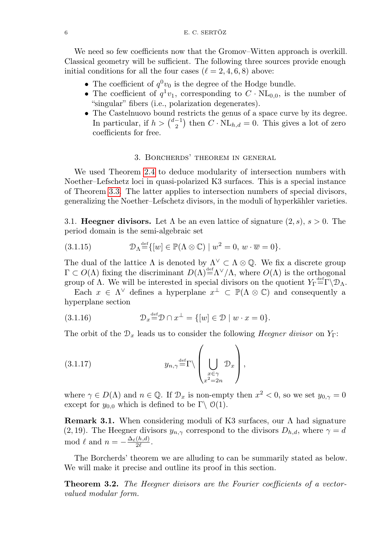We need so few coefficients now that the Gromov–Witten approach is overkill. Classical geometry will be sufficient. The following three sources provide enough initial conditions for all the four cases  $(\ell = 2, 4, 6, 8)$  above:

- The coefficient of  $q^0v_0$  is the degree of the Hodge bundle.
- The coefficient of  $q^1v_1$ , corresponding to  $C \cdot NL_{0,0}$ , is the number of "singular" fibers (i.e., polarization degenerates).
- The Castelnuovo bound restricts the genus of a space curve by its degree. In particular, if  $h > \binom{d-1}{2}$  then  $C \cdot NL_{h,d} = 0$ . This gives a lot of zero coefficients for free.

## 3. Borcherds' theorem in general

We used Theorem [2.4](#page-4-0) to deduce modularity of intersection numbers with Noether–Lefschetz loci in quasi-polarized K3 surfaces. This is a special instance of Theorem [3.3.](#page-6-0) The latter applies to intersection numbers of special divisors, generalizing the Noether–Lefschetz divisors, in the moduli of hyperkähler varieties.

3.1. **Heegner divisors.** Let  $\Lambda$  be an even lattice of signature  $(2, s)$ ,  $s > 0$ . The period domain is the semi-algebraic set

(3.1.15) 
$$
\mathcal{D}_{\Lambda}^{\text{def}}([w] \in \mathbb{P}(\Lambda \otimes \mathbb{C}) \mid w^2 = 0, w \cdot \overline{w} = 0).
$$

The dual of the lattice  $\Lambda$  is denoted by  $\Lambda^{\vee} \subset \Lambda \otimes \mathbb{Q}$ . We fix a discrete group  $\Gamma \subset O(\Lambda)$  fixing the discriminant  $D(\Lambda) \stackrel{\text{def}}{=} \Lambda^{\vee}/\Lambda$ , where  $O(\Lambda)$  is the orthogonal group of  $\Lambda$ . We will be interested in special divisors on the quotient  $Y_{\Gamma}^{\text{def}} \Gamma \backslash \mathcal{D}_{\Lambda}$ .

Each  $x \in \Lambda^{\vee}$  defines a hyperplane  $x^{\perp} \subset \mathbb{P}(\Lambda \otimes \mathbb{C})$  and consequently a hyperplane section

(3.1.16) 
$$
\mathcal{D}_x^{\text{def}} \mathcal{D} \cap x^\perp = \{ [w] \in \mathcal{D} \mid w \cdot x = 0 \}.
$$

The orbit of the  $\mathcal{D}_x$  leads us to consider the following *Heegner divisor* on  $Y_\Gamma$ :

$$
(3.1.17) \t\t y_{n,\gamma} \stackrel{\text{def}}{=} \Gamma \backslash \left( \bigcup_{\substack{x \in \gamma \\ x^2 = 2n}} \mathcal{D}_x \right),
$$

where  $\gamma \in D(\Lambda)$  and  $n \in \mathbb{Q}$ . If  $\mathcal{D}_x$  is non-empty then  $x^2 < 0$ , so we set  $y_{0,\gamma} = 0$ except for  $y_{0,0}$  which is defined to be Γ\  $\mathcal{O}(1)$ .

**Remark 3.1.** When considering moduli of K3 surfaces, our  $\Lambda$  had signature (2, 19). The Heegner divisors  $y_{n,\gamma}$  correspond to the divisors  $D_{h,d}$ , where  $\gamma = d$ mod  $\ell$  and  $n = -\frac{\Delta_{\ell}(h,d)}{2\ell}$ .

The Borcherds' theorem we are alluding to can be summarily stated as below. We will make it precise and outline its proof in this section.

Theorem 3.2. The Heegner divisors are the Fourier coefficients of a vectorvalued modular form.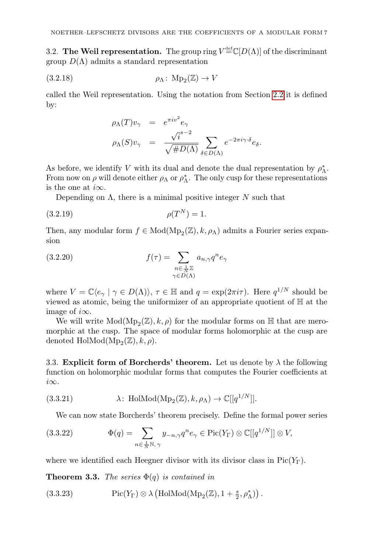3.2. The Weil representation. The group ring  $V^{\text{def}}_{\equiv} \mathbb{C}[D(\Lambda)]$  of the discriminant group  $D(\Lambda)$  admits a standard representation

$$
\text{(3.2.18)} \quad \rho_{\Lambda} \colon \operatorname{Mp}_2(\mathbb{Z}) \to V
$$

called the Weil representation. Using the notation from Section [2.2](#page-3-1) it is defined by:

$$
\rho_{\Lambda}(T)v_{\gamma} = e^{\pi i v^2} e_{\gamma}
$$
  

$$
\rho_{\Lambda}(S)v_{\gamma} = \frac{\sqrt{i}^{s-2}}{\sqrt{\#D(\Lambda)}} \sum_{\delta \in D(\Lambda)} e^{-2\pi i \gamma \cdot \delta} e_{\delta}.
$$

As before, we identify V with its dual and denote the dual representation by  $\rho_{\Lambda}^*$ . From now on  $\rho$  will denote either  $\rho_{\Lambda}$  or  $\rho_{\Lambda}^{*}$ . The only cusp for these representations is the one at  $i\infty$ .

Depending on  $\Lambda$ , there is a minimal positive integer  $N$  such that

(3.2.19) 
$$
\rho(T^N) = 1.
$$

Then, any modular form  $f \in Mod(Mp_2(\mathbb{Z}), k, \rho_\Lambda)$  admits a Fourier series expansion

(3.2.20) 
$$
f(\tau) = \sum_{\substack{n \in \frac{1}{N}\mathbb{Z} \\ \gamma \in D(\Lambda)}} a_{n,\gamma} q^n e_{\gamma}
$$

where  $V = \mathbb{C}\langle e_{\gamma} | \gamma \in D(\Lambda) \rangle$ ,  $\tau \in \mathbb{H}$  and  $q = \exp(2\pi i \tau)$ . Here  $q^{1/N}$  should be viewed as atomic, being the uniformizer of an appropriate quotient of  $\mathbb H$  at the image of  $i\infty$ .

We will write  $\text{Mod}(\text{Mp}_2(\mathbb{Z}), k, \rho)$  for the modular forms on  $\mathbb H$  that are meromorphic at the cusp. The space of modular forms holomorphic at the cusp are denoted  $\text{HolMod}(\text{Mp}_2(\mathbb{Z}), k, \rho)$ .

3.3. Explicit form of Borcherds' theorem. Let us denote by  $\lambda$  the following function on holomorphic modular forms that computes the Fourier coefficients at i∞.

(3.3.21) 
$$
\lambda: \text{HolMod}(\text{Mp}_2(\mathbb{Z}), k, \rho_\Lambda) \to \mathbb{C}[[q^{1/N}]].
$$

We can now state Borcherds' theorem precisely. Define the formal power series

(3.3.22) 
$$
\Phi(q) = \sum_{n \in \frac{1}{N} \mathbb{N}, \gamma} y_{-n,\gamma} q^n e_\gamma \in \text{Pic}(Y_\Gamma) \otimes \mathbb{C}[[q^{1/N}]] \otimes V,
$$

where we identified each Heegner divisor with its divisor class in  $Pic(Y_{\Gamma})$ .

<span id="page-6-0"></span>**Theorem 3.3.** The series  $\Phi(q)$  is contained in

(3.3.23) 
$$
\mathrm{Pic}(Y_{\Gamma}) \otimes \lambda \left( \mathrm{HolMod}(\mathrm{Mp}_{2}(\mathbb{Z}), 1 + \frac{s}{2}, \rho_{\Lambda}^{*}) \right).
$$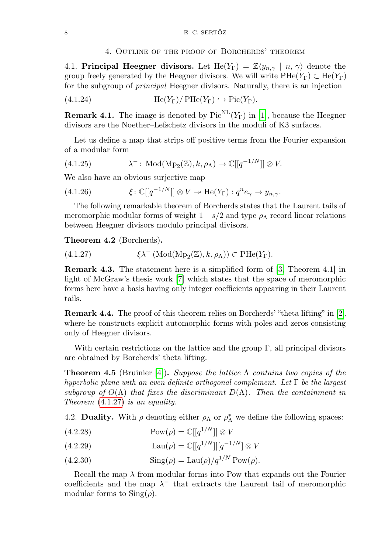#### 4. Outline of the proof of Borcherds' theorem

4.1. Principal Heegner divisors. Let  $\text{He}(Y_{\Gamma}) = \mathbb{Z}\langle y_{n,\gamma} | n, \gamma \rangle$  denote the group freely generated by the Heegner divisors. We will write  $\text{PHe}(Y_{\Gamma}) \subset \text{He}(Y_{\Gamma})$ for the subgroup of principal Heegner divisors. Naturally, there is an injection

(4.1.24) 
$$
\text{He}(Y_{\Gamma})/\text{PHe}(Y_{\Gamma}) \hookrightarrow \text{Pic}(Y_{\Gamma}).
$$

**Remark 4.1.** The image is denoted by  $Pic^{NL}(Y_{\Gamma})$  in [\[1\]](#page-9-1), because the Heegner divisors are the Noether–Lefschetz divisors in the moduli of K3 surfaces.

Let us define a map that strips off positive terms from the Fourier expansion of a modular form

(4.1.25) 
$$
\lambda^-: \text{Mod}(\text{Mp}_2(\mathbb{Z}), k, \rho_\Lambda) \to \mathbb{C}[[q^{-1/N}]] \otimes V.
$$

We also have an obvious surjective map

(4.1.26) 
$$
\xi \colon \mathbb{C}[[q^{-1/N}]] \otimes V \twoheadrightarrow \text{He}(Y_{\Gamma}) : q^n e_{\gamma} \mapsto y_{n,\gamma}.
$$

The following remarkable theorem of Borcherds states that the Laurent tails of meromorphic modular forms of weight  $1-s/2$  and type  $\rho_{\Lambda}$  record linear relations between Heegner divisors modulo principal divisors.

<span id="page-7-2"></span>Theorem 4.2 (Borcherds).

<span id="page-7-0"></span>(4.1.27) 
$$
\xi \lambda^{-} (\text{Mod}(\text{Mp}_2(\mathbb{Z}), k, \rho_\Lambda)) \subset \text{PHe}(Y_{\Gamma}).
$$

Remark 4.3. The statement here is a simplified form of [\[3,](#page-9-2) Theorem 4.1] in light of McGraw's thesis work [\[7\]](#page-9-3) which states that the space of meromorphic forms here have a basis having only integer coefficients appearing in their Laurent tails.

Remark 4.4. The proof of this theorem relies on Borcherds' "theta lifting" in [\[2\]](#page-9-4), where he constructs explicit automorphic forms with poles and zeros consisting only of Heegner divisors.

With certain restrictions on the lattice and the group  $\Gamma$ , all principal divisors are obtained by Borcherds' theta lifting.

<span id="page-7-1"></span>**Theorem 4.5** (Bruinier [\[4\]](#page-9-5)). Suppose the lattice  $\Lambda$  contains two copies of the hyperbolic plane with an even definite orthogonal complement. Let  $\Gamma$  be the largest subgroup of  $O(\Lambda)$  that fixes the discriminant  $D(\Lambda)$ . Then the containment in Theorem [\(4.1.27\)](#page-7-0) is an equality.

4.2. Duality. With  $\rho$  denoting either  $\rho_{\Lambda}$  or  $\rho_{\Lambda}^{*}$  we define the following spaces:

- (4.2.28)  $\text{Pow}(\rho) = \mathbb{C}[[q^{1/N}]] \otimes V$
- (4.2.29)  $\text{Lau}(\rho) = \mathbb{C}[[q^{1/N}]][q^{-1/N}] \otimes V$
- (4.2.30)  $\text{Sing}(\rho) = \text{Lau}(\rho)/q^{1/N} \text{Pow}(\rho).$

Recall the map  $\lambda$  from modular forms into Pow that expands out the Fourier coefficients and the map  $\lambda^-$  that extracts the Laurent tail of meromorphic modular forms to  $\text{Sing}(\rho)$ .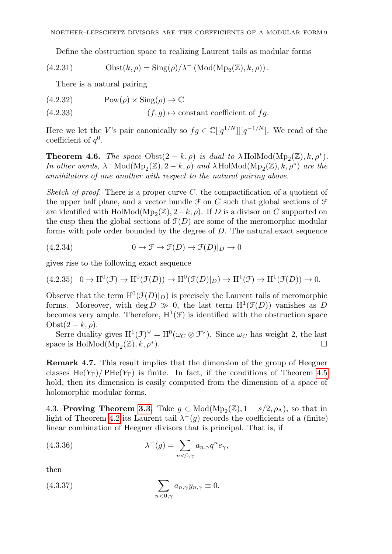Define the obstruction space to realizing Laurent tails as modular forms

(4.2.31) 
$$
\text{Obst}(k,\rho) = \text{Sing}(\rho)/\lambda^{-} (\text{Mod}(\text{Mp}_2(\mathbb{Z}), k, \rho)).
$$

There is a natural pairing

<span id="page-8-0"></span>(4.2.32) 
$$
Pow(\rho) \times Sing(\rho) \to \mathbb{C}
$$
  
(4.2.33) 
$$
(f, g) \mapsto \text{constant coefficient of } fg.
$$

Here we let the V's pair canonically so  $fg \in \mathbb{C}[[q^{1/N}]][q^{-1/N}]$ . We read of the coefficient of  $q^0$ .

<span id="page-8-1"></span>**Theorem 4.6.** The space  $Obst(2 - k, \rho)$  is dual to  $\lambda$  HolMod( $Mp_2(\mathbb{Z}), k, \rho^*$ ). In other words,  $\lambda$ <sup>-</sup> Mod( $Mp_2(\mathbb{Z}),$  2 – k,  $\rho$ ) and  $\lambda$  HolMod( $Mp_2(\mathbb{Z}),$  k,  $\rho^*$ ) are the annihilators of one another with respect to the natural pairing above.

Sketch of proof. There is a proper curve C, the compactification of a quotient of the upper half plane, and a vector bundle  $\mathcal F$  on C such that global sections of  $\mathcal F$ are identified with  $\text{HolMod}(\text{Mp}_2(\mathbb{Z}), 2-k, \rho)$ . If D is a divisor on C supported on the cusp then the global sections of  $\mathcal{F}(D)$  are some of the meromorphic modular forms with pole order bounded by the degree of D. The natural exact sequence

(4.2.34) 
$$
0 \to \mathcal{F} \to \mathcal{F}(D) \to \mathcal{F}(D)|_D \to 0
$$

gives rise to the following exact sequence

$$
(4.2.35) \quad 0 \to \mathrm{H}^0(\mathcal{F}) \to \mathrm{H}^0(\mathcal{F}(D)) \to \mathrm{H}^0(\mathcal{F}(D)|_D) \to \mathrm{H}^1(\mathcal{F}) \to \mathrm{H}^1(\mathcal{F}(D)) \to 0.
$$

Observe that the term  $H^0(\mathcal{F}(D)|_D)$  is precisely the Laurent tails of meromorphic forms. Moreover, with  $\deg D \gg 0$ , the last term  $H^1(\mathcal{F}(D))$  vanishes as D becomes very ample. Therefore,  $H^1(\mathcal{F})$  is identified with the obstruction space  $Obst(2-k,\rho).$ 

Serre duality gives  $H^1(\mathcal{F})^{\vee} = H^0(\omega_C \otimes \mathcal{F}^{\vee})$ . Since  $\omega_C$  has weight 2, the last space is  $\text{HolMod}(\text{Mp}_2(\mathbb{Z}), k, \rho^*$ ).  $\qquad \qquad \Box$ 

Remark 4.7. This result implies that the dimension of the group of Heegner classes He(Y<sub>Γ</sub>)/PHe(Y<sub>Γ</sub>) is finite. In fact, if the conditions of Theorem [4.5](#page-7-1) hold, then its dimension is easily computed from the dimension of a space of holomorphic modular forms.

4.3. Proving Theorem [3.3.](#page-6-0) Take  $g \in Mod(Mp_2(\mathbb{Z}), 1 - s/2, \rho_\Lambda)$ , so that in light of Theorem [4.2](#page-7-2) its Laurent tail  $\lambda^{-}(g)$  records the coefficients of a (finite) linear combination of Heegner divisors that is principal. That is, if

(4.3.36) 
$$
\lambda^{-}(g) = \sum_{n<0,\gamma} a_{n,\gamma} q^{n} e_{\gamma},
$$

then

(4.3.37) 
$$
\sum_{n<0,\gamma} a_{n,\gamma} y_{n,\gamma} \equiv 0.
$$